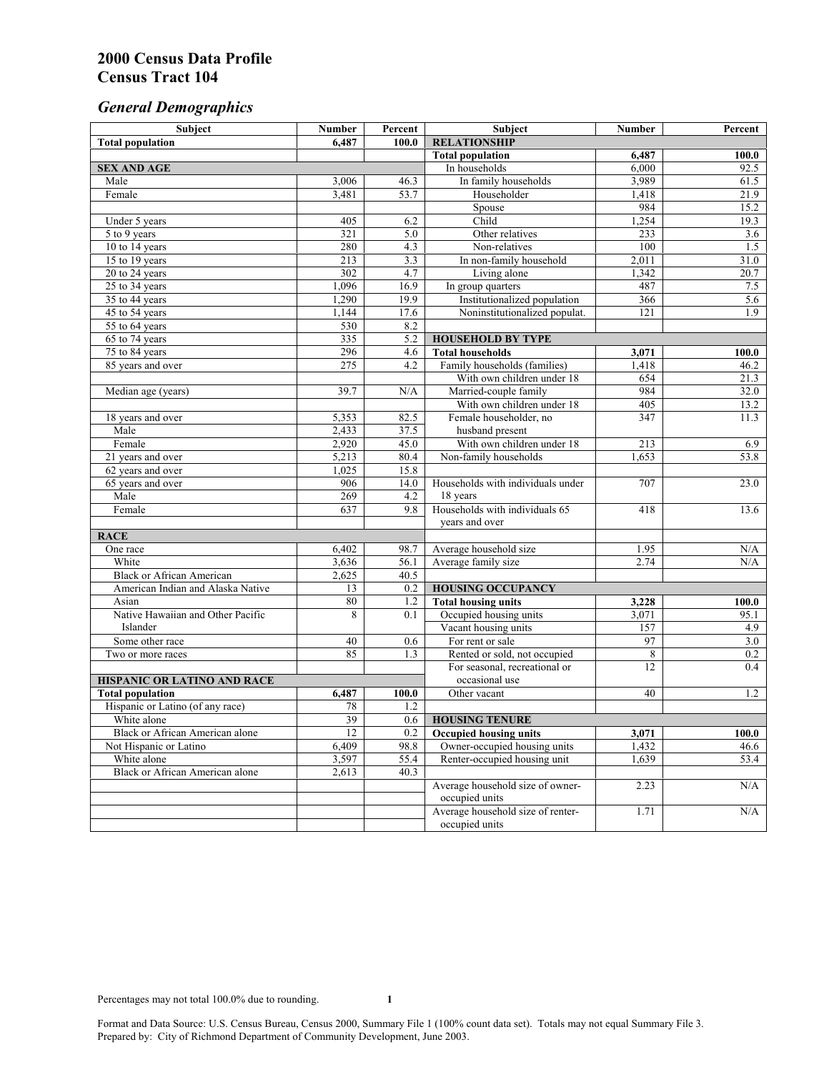# *General Demographics*

| Subject                           | <b>Number</b>           | Percent          | Subject                                                 | <b>Number</b> | Percent      |
|-----------------------------------|-------------------------|------------------|---------------------------------------------------------|---------------|--------------|
| <b>Total population</b>           | 6,487                   | 100.0            | <b>RELATIONSHIP</b>                                     |               |              |
|                                   |                         |                  | <b>Total population</b>                                 | 6,487         | 100.0        |
| <b>SEX AND AGE</b>                |                         |                  | In households                                           | 6,000         | 92.5         |
| Male                              | 3,006                   | 46.3             | In family households                                    | 3,989         | 61.5         |
| Female                            | 3,481                   | 53.7             | Householder                                             | 1,418         | 21.9         |
|                                   |                         |                  | Spouse                                                  | 984           | 15.2         |
| Under 5 years                     | 405                     | 6.2              | Child                                                   | 1,254         | 19.3         |
| 5 to 9 years                      | 321                     | $\overline{5.0}$ | Other relatives                                         | 233           | 3.6          |
| 10 to 14 years                    | 280                     | 4.3              | Non-relatives                                           | 100           | 1.5          |
| 15 to 19 years                    | 213                     | 3.3              | In non-family household                                 | 2,011         | 31.0         |
| 20 to 24 years                    | 302                     | 4.7              | Living alone                                            | 1,342         | 20.7         |
| $25 \text{ to } 34$ years         | 1,096                   | 16.9             | In group quarters                                       | 487           | 7.5          |
| 35 to 44 years                    | 1,290                   | 19.9             | Institutionalized population                            | 366           | 5.6          |
| 45 to 54 years                    | 1,144                   | 17.6             | Noninstitutionalized populat.                           | 121           | 1.9          |
| 55 to 64 years                    | 530                     | 8.2              |                                                         |               |              |
| 65 to 74 years                    | 335                     | 5.2              | <b>HOUSEHOLD BY TYPE</b>                                |               |              |
| 75 to 84 years                    | 296<br>$\overline{275}$ | 4.6<br>4.2       | <b>Total households</b><br>Family households (families) | 3,071         | 100.0        |
| 85 years and over                 |                         |                  | With own children under 18                              | 1,418<br>654  | 46.2         |
|                                   | 39.7                    | N/A              | Married-couple family                                   | 984           | 21.3<br>32.0 |
| Median age (years)                |                         |                  | With own children under 18                              | 405           | 13.2         |
| 18 years and over                 | 5,353                   | 82.5             | Female householder, no                                  | 347           | 11.3         |
| Male                              | 2,433                   | 37.5             | husband present                                         |               |              |
| Female                            | 2,920                   | 45.0             | With own children under 18                              | 213           | 6.9          |
| 21 years and over                 | 5,213                   | 80.4             | Non-family households                                   | 1,653         | 53.8         |
| 62 years and over                 | 1,025                   | 15.8             |                                                         |               |              |
| 65 years and over                 | 906                     | 14.0             | Households with individuals under                       | 707           | 23.0         |
| Male                              | 269                     | 4.2              | 18 years                                                |               |              |
| Female                            | 637                     | 9.8              | Households with individuals 65                          | 418           | 13.6         |
|                                   |                         |                  | years and over                                          |               |              |
| <b>RACE</b>                       |                         |                  |                                                         |               |              |
| One race                          | 6,402                   | 98.7             | Average household size                                  | 1.95          | $\rm N/A$    |
| White                             | 3,636                   | 56.1             | Average family size                                     | 2.74          | N/A          |
| <b>Black or African American</b>  | 2,625                   | 40.5             |                                                         |               |              |
| American Indian and Alaska Native | 13                      | 0.2              | <b>HOUSING OCCUPANCY</b>                                |               |              |
| Asian                             | 80                      | 1.2              | <b>Total housing units</b>                              | 3,228         | 100.0        |
| Native Hawaiian and Other Pacific | 8                       | 0.1              | Occupied housing units                                  | 3,071         | 95.1         |
| Islander                          |                         |                  | Vacant housing units                                    | 157           | 4.9          |
| Some other race                   | 40                      | 0.6              | For rent or sale                                        | 97            | 3.0          |
| Two or more races                 | 85                      | 1.3              | Rented or sold, not occupied                            | 8             | 0.2          |
|                                   |                         |                  | For seasonal, recreational or                           | 12            | 0.4          |
| HISPANIC OR LATINO AND RACE       |                         |                  | occasional use                                          |               |              |
| <b>Total population</b>           | 6,487                   | 100.0            | Other vacant                                            | 40            | 1.2          |
| Hispanic or Latino (of any race)  | 78                      | 1.2              |                                                         |               |              |
| White alone                       | 39                      | 0.6              | <b>HOUSING TENURE</b>                                   |               |              |
| Black or African American alone   | 12                      | 0.2              | <b>Occupied housing units</b>                           | 3,071         | 100.0        |
| Not Hispanic or Latino            | 6,409                   | 98.8             | Owner-occupied housing units                            | 1,432         | 46.6         |
| White alone                       | 3,597                   | 55.4             | Renter-occupied housing unit                            | 1,639         | 53.4         |
| Black or African American alone   | 2,613                   | 40.3             |                                                         |               |              |
|                                   |                         |                  | Average household size of owner-                        | 2.23          | N/A          |
|                                   |                         |                  | occupied units                                          |               |              |
|                                   |                         |                  | Average household size of renter-                       | 1.71          | N/A          |
|                                   |                         |                  | occupied units                                          |               |              |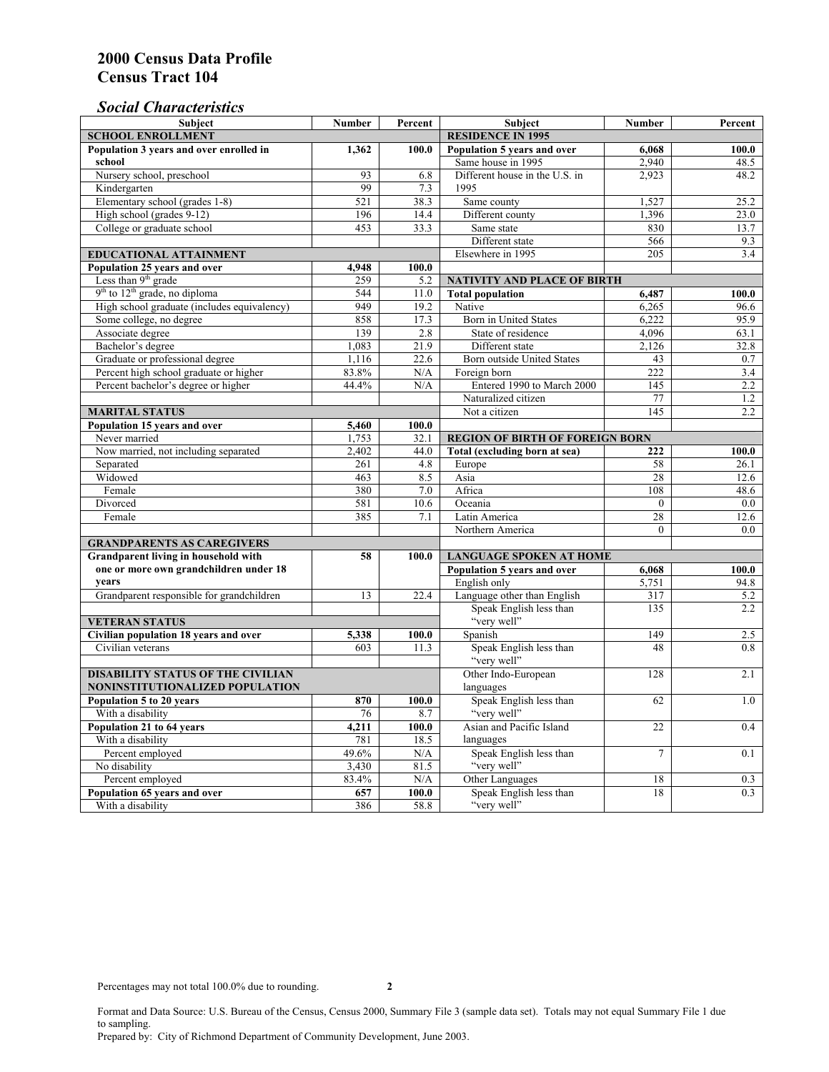### *Social Characteristics*

| <b>Subject</b>                              | Number                   | Percent      | <b>Subject</b>                         | <b>Number</b>  | Percent       |  |
|---------------------------------------------|--------------------------|--------------|----------------------------------------|----------------|---------------|--|
| <b>SCHOOL ENROLLMENT</b>                    | <b>RESIDENCE IN 1995</b> |              |                                        |                |               |  |
| Population 3 years and over enrolled in     | 1,362                    | 100.0        | Population 5 years and over            | 6,068          | 100.0         |  |
| school                                      |                          |              | Same house in 1995                     | 2,940          | 48.5          |  |
| Nursery school, preschool                   | 93                       | 6.8          | Different house in the U.S. in         | 2.923          | 48.2          |  |
| Kindergarten                                | 99                       | 7.3          | 1995                                   |                |               |  |
| Elementary school (grades 1-8)              | 521                      | 38.3         | Same county                            | 1,527          | 25.2          |  |
| High school (grades 9-12)                   | 196                      | 14.4         | Different county                       | 1,396          | 23.0          |  |
| College or graduate school                  | 453                      | 33.3         | Same state                             | 830            | 13.7          |  |
|                                             |                          |              | Different state                        | 566            | 9.3           |  |
| <b>EDUCATIONAL ATTAINMENT</b>               | Elsewhere in 1995        | 205          | 3.4                                    |                |               |  |
| Population 25 years and over                | 4,948                    | 100.0        |                                        |                |               |  |
| Less than 9 <sup>th</sup> grade             | 259                      | 5.2          | NATIVITY AND PLACE OF BIRTH            |                |               |  |
| $9th$ to $12th$ grade, no diploma           | 544                      | 11.0         | <b>Total population</b>                | 6,487          | 100.0         |  |
| High school graduate (includes equivalency) | 949                      | 19.2         | Native                                 | 6.265          | 96.6          |  |
| Some college, no degree                     | 858                      | 17.3         | <b>Born</b> in United States           | 6,222          | 95.9          |  |
| Associate degree                            | 139                      | 2.8          | State of residence                     | 4,096          | 63.1          |  |
| Bachelor's degree                           | 1,083                    | 21.9         | Different state                        | 2,126          | 32.8          |  |
| Graduate or professional degree             | 1,116                    | 22.6         | Born outside United States             | 43             | 0.7           |  |
| Percent high school graduate or higher      | 83.8%                    | N/A          | Foreign born                           | 222            | 3.4           |  |
| Percent bachelor's degree or higher         | 44.4%                    | N/A          | Entered 1990 to March 2000             | 145            | 2.2           |  |
|                                             |                          |              | Naturalized citizen                    | 77             | 1.2           |  |
| <b>MARITAL STATUS</b>                       |                          |              | Not a citizen                          | 145            | $2.2^{\circ}$ |  |
| Population 15 years and over                | 5,460                    | 100.0        |                                        |                |               |  |
| Never married                               | 1,753                    | 32.1         | <b>REGION OF BIRTH OF FOREIGN BORN</b> |                |               |  |
| Now married, not including separated        | 2,402                    | 44.0         | Total (excluding born at sea)          | 222            | 100.0         |  |
| Separated                                   | 261                      | 4.8          | Europe                                 | 58             | 26.1          |  |
| Widowed                                     | 463                      | 8.5          | Asia                                   | 28             | 12.6          |  |
| Female                                      | 380                      | 7.0          | Africa                                 | 108            | 48.6          |  |
| Divorced                                    | 581                      | 10.6         | Oceania                                | $\theta$       | 0.0           |  |
| Female                                      | 385                      | 7.1          | Latin America                          | 28             | 12.6          |  |
|                                             |                          |              | Northern America                       | $\theta$       | 0.0           |  |
| <b>GRANDPARENTS AS CAREGIVERS</b>           |                          |              |                                        |                |               |  |
| Grandparent living in household with<br>58  |                          | 100.0        | <b>LANGUAGE SPOKEN AT HOME</b>         |                |               |  |
| one or more own grandchildren under 18      |                          |              | Population 5 years and over            | 6,068          | 100.0         |  |
| years                                       |                          |              | English only                           | 5,751          | 94.8          |  |
| Grandparent responsible for grandchildren   | 13                       | 22.4         | Language other than English            | 317            | 5.2           |  |
|                                             |                          |              | Speak English less than<br>"very well" | 135            | 2.2           |  |
| <b>VETERAN STATUS</b>                       |                          |              |                                        |                |               |  |
| Civilian population 18 years and over       | 5,338                    | 100.0        | Spanish                                | 149<br>48      | 2.5           |  |
| Civilian veterans                           | 603                      | 11.3         | Speak English less than<br>"very well" |                | 0.8           |  |
| <b>DISABILITY STATUS OF THE CIVILIAN</b>    |                          |              | Other Indo-European                    | 128            | 2.1           |  |
| NONINSTITUTIONALIZED POPULATION             | languages                |              |                                        |                |               |  |
| Population 5 to 20 years                    | Speak English less than  | 62           | 1.0                                    |                |               |  |
| With a disability                           | 870<br>76                | 100.0<br>8.7 | "very well"                            |                |               |  |
| Population 21 to 64 years                   | 4.211                    | 100.0        | Asian and Pacific Island               | 22             | 0.4           |  |
| With a disability                           | 781                      | 18.5         | languages                              |                |               |  |
| Percent employed                            | 49.6%                    | N/A          | Speak English less than                | $\overline{7}$ | 0.1           |  |
| No disability                               | 3,430                    | 81.5         | "very well"                            |                |               |  |
| Percent employed                            | 83.4%                    | N/A          | Other Languages                        | 18             | 0.3           |  |
| Population 65 years and over                | 657                      | 100.0        | Speak English less than                | 18             | 0.3           |  |
| With a disability                           | 386                      | 58.8         | "very well"                            |                |               |  |

Format and Data Source: U.S. Bureau of the Census, Census 2000, Summary File 3 (sample data set). Totals may not equal Summary File 1 due to sampling.

Prepared by: City of Richmond Department of Community Development, June 2003.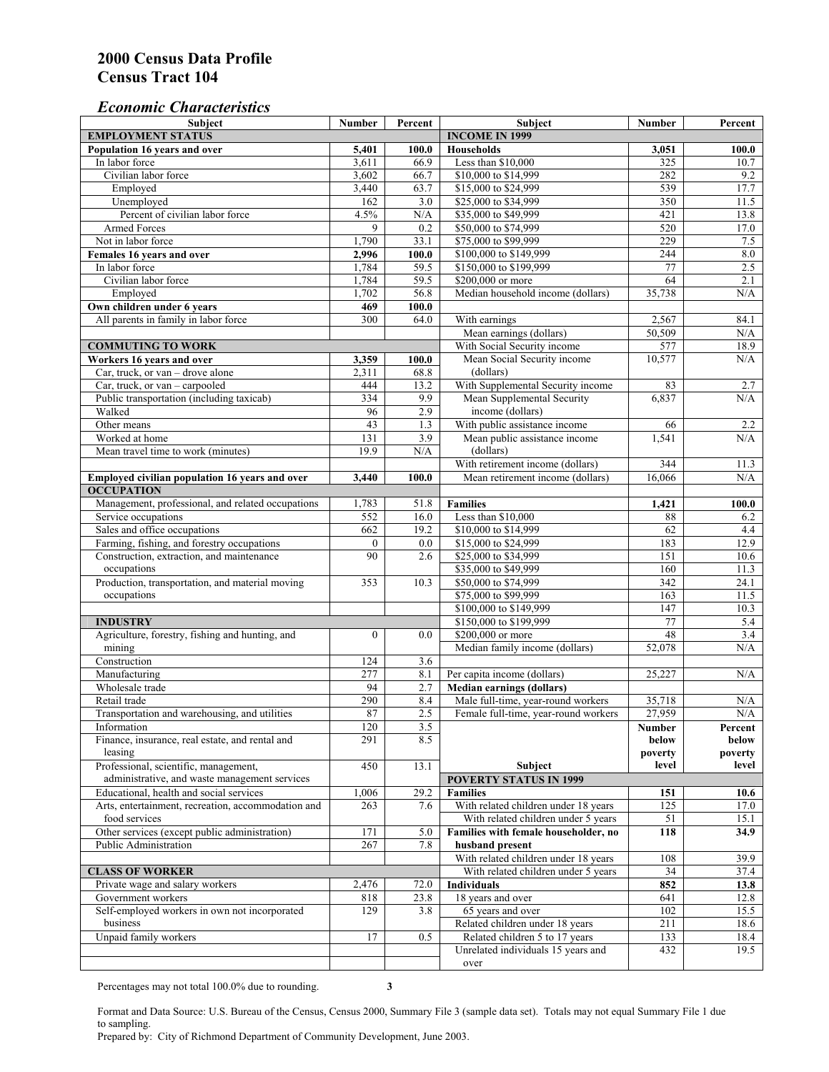### *Economic Characteristics*

| Subject                                                                                | <b>Number</b>    | Percent                             | Subject                                                                | <b>Number</b>    | Percent          |
|----------------------------------------------------------------------------------------|------------------|-------------------------------------|------------------------------------------------------------------------|------------------|------------------|
| <b>EMPLOYMENT STATUS</b>                                                               |                  |                                     | <b>INCOME IN 1999</b>                                                  |                  |                  |
| Population 16 years and over                                                           | 5,401            | 100.0                               | <b>Households</b>                                                      | 3,051            | 100.0            |
| In labor force                                                                         | 3,611            | 66.9                                | Less than \$10,000                                                     | 325              | 10.7             |
| Civilian labor force                                                                   | 3,602            | 66.7                                | \$10,000 to \$14,999                                                   | 282              | 9.2              |
| Employed                                                                               | 3,440            | 63.7                                | \$15,000 to \$24,999                                                   | 539              | 17.7             |
| Unemployed                                                                             | 162              | 3.0                                 | \$25,000 to \$34,999                                                   | 350              | 11.5             |
| Percent of civilian labor force                                                        | 4.5%             | N/A                                 | \$35,000 to \$49,999                                                   | 421              | 13.8             |
| <b>Armed Forces</b>                                                                    | 9                | 0.2                                 | \$50,000 to \$74,999                                                   | 520              | 17.0             |
| Not in labor force                                                                     | 1,790            | 33.1                                | \$75,000 to \$99,999                                                   | 229              | 7.5              |
| Females 16 years and over                                                              | 2,996            | 100.0                               | \$100,000 to \$149,999                                                 | 244              | $\rm 8.0$        |
| In labor force                                                                         | 1,784            | 59.5                                | \$150,000 to \$199,999                                                 | 77               | 2.5              |
| Civilian labor force                                                                   | 1,784            | 59.5                                | \$200,000 or more                                                      | 64               | 2.1              |
| Employed                                                                               | 1,702            | 56.8                                | Median household income (dollars)                                      | 35,738           | N/A              |
| Own children under 6 years                                                             | 469              | 100.0                               |                                                                        |                  |                  |
| All parents in family in labor force                                                   | 300              | 64.0                                | With earnings                                                          | 2,567            | 84.1             |
|                                                                                        |                  |                                     | Mean earnings (dollars)                                                | 50,509           | N/A              |
| <b>COMMUTING TO WORK</b>                                                               |                  |                                     | With Social Security income                                            | 577              | 18.9             |
| Workers 16 years and over                                                              | 3,359            | 100.0                               | Mean Social Security income                                            | 10,577           | N/A              |
| Car, truck, or van - drove alone                                                       | 2,311            | 68.8                                | (dollars)                                                              |                  |                  |
| Car, truck, or van - carpooled                                                         | 444              | 13.2                                | With Supplemental Security income                                      | 83               | 2.7              |
| Public transportation (including taxicab)                                              | 334              | 9.9                                 | Mean Supplemental Security                                             | 6,837            | N/A              |
| Walked                                                                                 | 96               | 2.9                                 | income (dollars)                                                       |                  |                  |
| Other means                                                                            | 43               | 1.3                                 | With public assistance income                                          | 66               | 2.2              |
| Worked at home                                                                         | 131              | 3.9                                 | Mean public assistance income                                          | 1,541            | N/A              |
| Mean travel time to work (minutes)                                                     | 19.9             | N/A                                 | (dollars)                                                              |                  |                  |
|                                                                                        |                  |                                     | With retirement income (dollars)                                       | 344              | 11.3             |
| Employed civilian population 16 years and over                                         | 3,440            | 100.0                               | Mean retirement income (dollars)                                       | 16,066           | N/A              |
| <b>OCCUPATION</b>                                                                      |                  |                                     |                                                                        |                  |                  |
| Management, professional, and related occupations                                      | 1,783            | 51.8                                | <b>Families</b>                                                        | 1,421            | 100.0            |
| Service occupations                                                                    | 552              | 16.0                                | Less than \$10,000                                                     | 88               | 6.2              |
| Sales and office occupations                                                           | 662              | 19.2                                | \$10,000 to \$14,999                                                   | 62               | 4.4              |
| Farming, fishing, and forestry occupations                                             | $\mathbf{0}$     | 0.0                                 | \$15,000 to \$24,999                                                   | 183              | 12.9             |
| Construction, extraction, and maintenance                                              | 90               | 2.6                                 | \$25,000 to \$34,999                                                   | 151              | 10.6             |
| occupations                                                                            |                  |                                     | \$35,000 to \$49,999                                                   | 160              | 11.3             |
| Production, transportation, and material moving                                        | 353              | 10.3                                | \$50,000 to \$74,999                                                   | 342              | 24.1             |
| occupations                                                                            |                  |                                     | \$75,000 to \$99,999                                                   | 163              | 11.5             |
|                                                                                        |                  |                                     | \$100,000 to \$149,999                                                 | 147              | 10.3             |
| <b>INDUSTRY</b>                                                                        |                  |                                     | \$150,000 to \$199,999                                                 | 77               | 5.4              |
| Agriculture, forestry, fishing and hunting, and                                        | $\boldsymbol{0}$ | 0.0                                 | \$200,000 or more                                                      | 48               | 3.4              |
| mining                                                                                 |                  |                                     | Median family income (dollars)                                         | 52,078           | N/A              |
| Construction                                                                           | 124              | 3.6                                 |                                                                        |                  |                  |
| Manufacturing                                                                          | $\overline{277}$ | 8.1                                 | Per capita income (dollars)                                            | 25,227           | N/A              |
| Wholesale trade                                                                        | 94               |                                     |                                                                        |                  |                  |
| Retail trade                                                                           | 290              | 2.7<br>8.4                          | <b>Median earnings (dollars)</b><br>Male full-time, year-round workers | 35.718           |                  |
| Transportation and warehousing, and utilities                                          | 87               | $\overline{2.5}$                    | Female full-time, year-round workers                                   | 27,959           | N/A<br>N/A       |
|                                                                                        |                  |                                     |                                                                        |                  |                  |
| Information<br>Finance, insurance, real estate, and rental and                         | 120<br>291       | 3.5<br>8.5                          |                                                                        | Number           | Percent          |
|                                                                                        |                  |                                     |                                                                        | below<br>poverty | below            |
| leasing                                                                                |                  | 13.1                                | Subject                                                                | level            | poverty<br>level |
| Professional, scientific, management,<br>administrative, and waste management services | 450              |                                     | <b>POVERTY STATUS IN 1999</b>                                          |                  |                  |
| Educational, health and social services                                                |                  |                                     |                                                                        |                  |                  |
|                                                                                        | 1,006            | 29.2                                | <b>Families</b>                                                        | 151              | 10.6             |
| Arts, entertainment, recreation, accommodation and                                     | 263              | 7.6                                 | With related children under 18 years                                   | 125              | 17.0             |
| food services                                                                          |                  |                                     | With related children under 5 years                                    | 51               | 15.1             |
| Other services (except public administration)                                          | 171              | 5.0                                 | Families with female householder, no                                   | 118              | 34.9             |
| Public Administration                                                                  | 267              | 7.8                                 | husband present                                                        |                  |                  |
|                                                                                        |                  |                                     | With related children under 18 years                                   | 108              | 39.9             |
| <b>CLASS OF WORKER</b>                                                                 |                  | With related children under 5 years | 34                                                                     | 37.4             |                  |
| Private wage and salary workers                                                        | 2,476            | 72.0                                | <b>Individuals</b>                                                     | 852              | 13.8             |
| Government workers                                                                     | 818              | 23.8                                | 18 years and over                                                      | 641              | 12.8             |
| Self-employed workers in own not incorporated                                          | 129              | 3.8                                 | 65 years and over                                                      | 102              | 15.5             |
| business                                                                               |                  |                                     | Related children under 18 years                                        | 211              | 18.6             |
| Unpaid family workers                                                                  | 17               | 0.5                                 | Related children 5 to 17 years                                         | 133              | 18.4             |
|                                                                                        |                  |                                     | Unrelated individuals 15 years and                                     | 432              | 19.5             |
|                                                                                        |                  |                                     | over                                                                   |                  |                  |

Percentages may not total 100.0% due to rounding. **3** 

Format and Data Source: U.S. Bureau of the Census, Census 2000, Summary File 3 (sample data set). Totals may not equal Summary File 1 due to sampling.

Prepared by: City of Richmond Department of Community Development, June 2003.